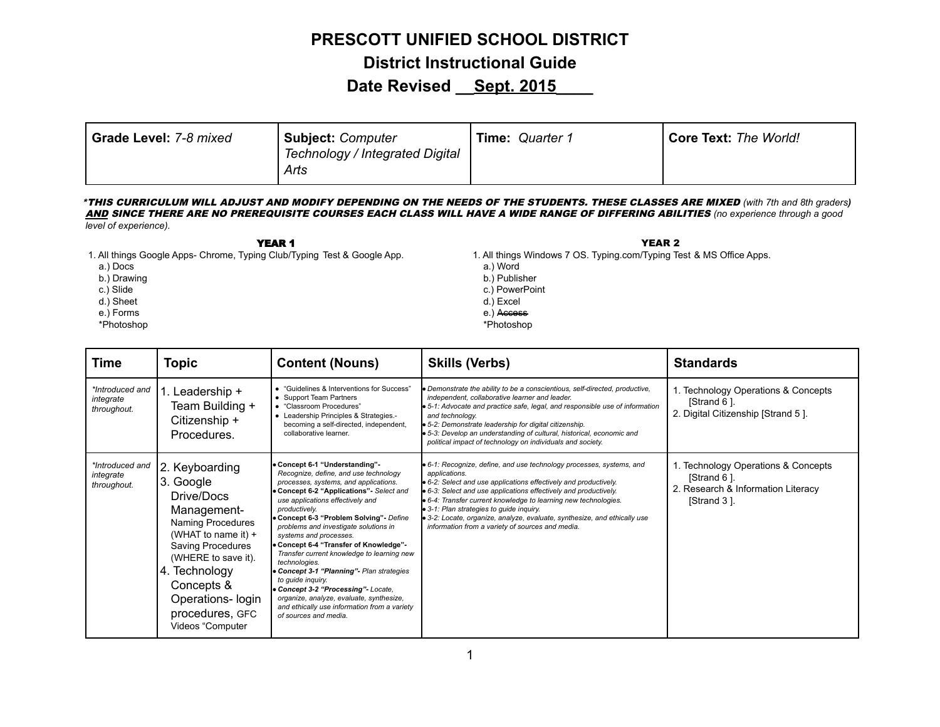#### **PRESCOTT UNIFIED SCHOOL DISTRICT**

**District Instructional Guide**

### **Date Revised \_\_Sept. 2015\_\_\_\_**

| Grade Level: 7-8 mixed | Subject: Computer<br>Technology / Integrated Digital | <b>Time: Quarter 1</b> | <b>Core Text: The World!</b> |
|------------------------|------------------------------------------------------|------------------------|------------------------------|
|                        | Arts                                                 |                        |                              |

\*THIS CURRICULUM WILL ADJUST AND MODIFY DEPENDING ON THE NEEDS OF THE STUDENTS. THESE CLASSES ARE MIXED *(with 7th and 8th graders)* AND SINCE THERE ARE NO PREREQUISITE COURSES EACH CLASS WILL HAVE A WIDE RANGE OF DIFFERING ABILITIES *(no experience through a good level of experience).*

YEAR 1

- 1. All things Google Apps- Chrome, Typing Club/Typing Test & Google App.
	- a.) Docs
	- b.) Drawing
	- c.) Slide
	- d.) Sheet
	- e.) Forms
	- \*Photoshop
- YEAR 2 1. All things Windows 7 OS. Typing.com/Typing Test & MS Office Apps.
	- a.) Word
	- b.) Publisher
	- c.) PowerPoint
	- d.) Excel
	- e.) Access
- \*Photoshop

| <b>Time</b>                                 | <b>Topic</b>                                                                                                                                                                                                                                  | <b>Content (Nouns)</b>                                                                                                                                                                                                                                                                                                                                                                                                                                                                                                                                                                                                                                                  | <b>Skills (Verbs)</b>                                                                                                                                                                                                                                                                                                                                                                                                                                                                                      | <b>Standards</b>                                                                                         |
|---------------------------------------------|-----------------------------------------------------------------------------------------------------------------------------------------------------------------------------------------------------------------------------------------------|-------------------------------------------------------------------------------------------------------------------------------------------------------------------------------------------------------------------------------------------------------------------------------------------------------------------------------------------------------------------------------------------------------------------------------------------------------------------------------------------------------------------------------------------------------------------------------------------------------------------------------------------------------------------------|------------------------------------------------------------------------------------------------------------------------------------------------------------------------------------------------------------------------------------------------------------------------------------------------------------------------------------------------------------------------------------------------------------------------------------------------------------------------------------------------------------|----------------------------------------------------------------------------------------------------------|
| *Introduced and<br>integrate<br>throughout. | l. Leadership +<br>Team Building +<br>Citizenship +<br>Procedures.                                                                                                                                                                            | • "Guidelines & Interventions for Success"<br>• Support Team Partners<br>• "Classroom Procedures"<br>• Leadership Principles & Strategies.-<br>becoming a self-directed, independent,<br>collaborative learner.                                                                                                                                                                                                                                                                                                                                                                                                                                                         | · Demonstrate the ability to be a conscientious, self-directed, productive,<br>independent, collaborative learner and leader.<br>· 5-1: Advocate and practice safe, legal, and responsible use of information<br>and technology.<br><b>.</b> 5-2: Demonstrate leadership for digital citizenship.<br>• 5-3: Develop an understanding of cultural, historical, economic and<br>political impact of technology on individuals and society.                                                                   | 1. Technology Operations & Concepts<br>[Strand 6].<br>2. Digital Citizenship [Strand 5].                 |
| *Introduced and<br>integrate<br>throughout. | 2. Keyboarding<br>3. Google<br>Drive/Docs<br>Management-<br>Naming Procedures<br>(WHAT to name it) $+$<br>Saving Procedures<br>(WHERE to save it).<br>4. Technology<br>Concepts &<br>Operations- login<br>procedures, GFC<br>Videos "Computer | • Concept 6-1 "Understanding"<br>Recognize, define, and use technology<br>processes, systems, and applications.<br>• Concept 6-2 "Applications" Select and<br>use applications effectively and<br>productively.<br>• Concept 6-3 "Problem Solving" - Define<br>problems and investigate solutions in<br>systems and processes.<br>• Concept 6-4 "Transfer of Knowledge"-<br>Transfer current knowledge to learning new<br>technologies.<br>• Concept 3-1 "Planning" - Plan strategies<br>to quide inquiry.<br>• Concept 3-2 "Processing" - Locate.<br>organize, analyze, evaluate, synthesize,<br>and ethically use information from a variety<br>of sources and media. | <b>•</b> 6-1: Recognize, define, and use technology processes, systems, and<br>applications.<br>• 6-2: Select and use applications effectively and productively.<br>• 6-3: Select and use applications effectively and productively.<br><b>.</b> 6-4: Transfer current knowledge to learning new technologies.<br>$\bullet$ 3-1: Plan strategies to guide inquiry.<br><b>.</b> 3-2: Locate, organize, analyze, evaluate, synthesize, and ethically use<br>information from a variety of sources and media. | 1. Technology Operations & Concepts<br>[Strand 6].<br>2. Research & Information Literacy<br>[Strand 3 ]. |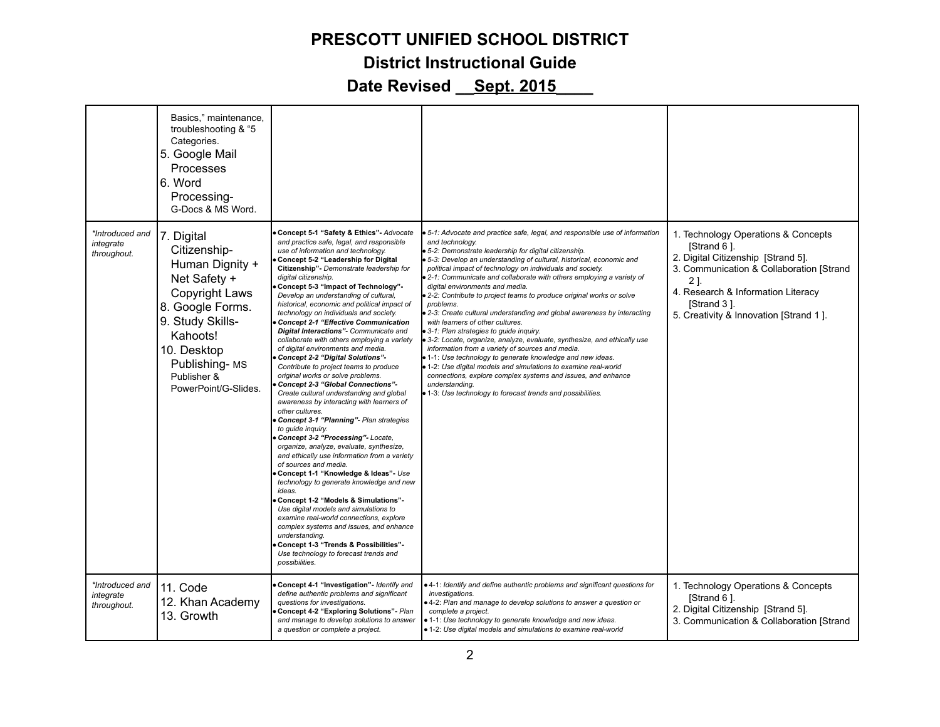#### **PRESCOTT UNIFIED SCHOOL DISTRICT**

#### **District Instructional Guide**

|                                             | Basics," maintenance,<br>troubleshooting & "5<br>Categories.<br>5. Google Mail<br>Processes<br>6. Word<br>Processing-<br>G-Docs & MS Word.                                                                        |                                                                                                                                                                                                                                                                                                                                                                                                                                                                                                                                                                                                                                                                                                                                                                                                                                                                                                                                                                                                                                                                                                                                                                                                                                                                                                                                                                                                                                                                                       |                                                                                                                                                                                                                                                                                                                                                                                                                                                                                                                                                                                                                                                                                                                                                                                                                                                                                                                                                                                                                                                                         |                                                                                                                                                                                                                                            |
|---------------------------------------------|-------------------------------------------------------------------------------------------------------------------------------------------------------------------------------------------------------------------|---------------------------------------------------------------------------------------------------------------------------------------------------------------------------------------------------------------------------------------------------------------------------------------------------------------------------------------------------------------------------------------------------------------------------------------------------------------------------------------------------------------------------------------------------------------------------------------------------------------------------------------------------------------------------------------------------------------------------------------------------------------------------------------------------------------------------------------------------------------------------------------------------------------------------------------------------------------------------------------------------------------------------------------------------------------------------------------------------------------------------------------------------------------------------------------------------------------------------------------------------------------------------------------------------------------------------------------------------------------------------------------------------------------------------------------------------------------------------------------|-------------------------------------------------------------------------------------------------------------------------------------------------------------------------------------------------------------------------------------------------------------------------------------------------------------------------------------------------------------------------------------------------------------------------------------------------------------------------------------------------------------------------------------------------------------------------------------------------------------------------------------------------------------------------------------------------------------------------------------------------------------------------------------------------------------------------------------------------------------------------------------------------------------------------------------------------------------------------------------------------------------------------------------------------------------------------|--------------------------------------------------------------------------------------------------------------------------------------------------------------------------------------------------------------------------------------------|
| *Introduced and<br>integrate<br>throughout. | 7. Digital<br>Citizenship-<br>Human Dignity +<br>Net Safety +<br><b>Copyright Laws</b><br>8. Google Forms.<br>9. Study Skills-<br>Kahoots!<br>10. Desktop<br>Publishing-MS<br>Publisher &<br>PowerPoint/G-Slides. | Concept 5-1 "Safety & Ethics"- Advocate<br>and practice safe, legal, and responsible<br>use of information and technology.<br>Concept 5-2 "Leadership for Digital<br>Citizenship"- Demonstrate leadership for<br>digital citizenship.<br>Concept 5-3 "Impact of Technology"-<br>Develop an understanding of cultural,<br>historical, economic and political impact of<br>technology on individuals and society.<br><b>Concept 2-1 "Effective Communication</b><br>Digital Interactions"- Communicate and<br>collaborate with others employing a variety<br>of digital environments and media.<br>Concept 2-2 "Digital Solutions"-<br>Contribute to project teams to produce<br>original works or solve problems.<br>Concept 2-3 "Global Connections"-<br>Create cultural understanding and global<br>awareness by interacting with learners of<br>other cultures.<br>Concept 3-1 "Planning"- Plan strategies<br>to guide inquiry.<br>Concept 3-2 "Processing"- Locate,<br>organize, analyze, evaluate, synthesize,<br>and ethically use information from a variety<br>of sources and media.<br>Concept 1-1 "Knowledge & Ideas"- Use<br>technology to generate knowledge and new<br>ideas.<br>Concept 1-2 "Models & Simulations"-<br>Use digital models and simulations to<br>examine real-world connections, explore<br>complex systems and issues, and enhance<br>understanding.<br>Concept 1-3 "Trends & Possibilities"-<br>Use technology to forecast trends and<br>possibilities. | 5-1: Advocate and practice safe, legal, and responsible use of information<br>and technology.<br>· 5-2: Demonstrate leadership for digital citizenship.<br>5-3: Develop an understanding of cultural, historical, economic and<br>political impact of technology on individuals and society.<br>■ 2-1: Communicate and collaborate with others employing a variety of<br>digital environments and media.<br>2-2: Contribute to project teams to produce original works or solve<br>problems.<br>· 2-3: Create cultural understanding and global awareness by interacting<br>with learners of other cultures.<br>• 3-1: Plan strategies to guide inquiry.<br>3-2: Locate, organize, analyze, evaluate, synthesize, and ethically use<br>information from a variety of sources and media.<br>• 1-1: Use technology to generate knowledge and new ideas.<br>1-2: Use digital models and simulations to examine real-world<br>connections, explore complex systems and issues, and enhance<br>understanding.<br>• 1-3: Use technology to forecast trends and possibilities. | 1. Technology Operations & Concepts<br>[Strand 6].<br>2. Digital Citizenship [Strand 5].<br>3. Communication & Collaboration [Strand<br>21.<br>4. Research & Information Literacy<br>[Strand 3].<br>5. Creativity & Innovation [Strand 1]. |
| *Introduced and<br>integrate<br>throughout. | 11. Code<br>12. Khan Academy<br>13. Growth                                                                                                                                                                        | Concept 4-1 "Investigation"- Identify and<br>define authentic problems and significant<br>questions for investigations.<br>Concept 4-2 "Exploring Solutions" Plan<br>and manage to develop solutions to answer<br>a question or complete a project.                                                                                                                                                                                                                                                                                                                                                                                                                                                                                                                                                                                                                                                                                                                                                                                                                                                                                                                                                                                                                                                                                                                                                                                                                                   | . 4-1: Identify and define authentic problems and significant questions for<br>investigations.<br>. 4-2: Plan and manage to develop solutions to answer a question or<br>complete a project.<br>· 1-1: Use technology to generate knowledge and new ideas.<br>· 1-2: Use digital models and simulations to examine real-world                                                                                                                                                                                                                                                                                                                                                                                                                                                                                                                                                                                                                                                                                                                                           | 1. Technology Operations & Concepts<br>[Strand 6].<br>2. Digital Citizenship [Strand 5].<br>3. Communication & Collaboration [Strand                                                                                                       |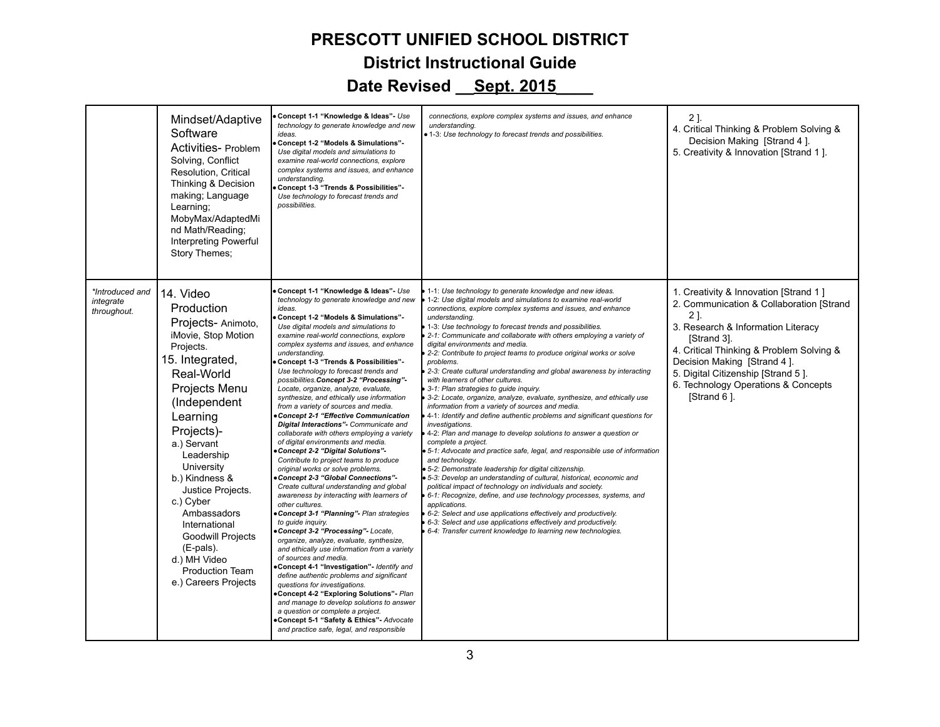|                                             | Mindset/Adaptive<br>Software<br>Activities- Problem<br>Solving, Conflict<br>Resolution, Critical<br>Thinking & Decision<br>making; Language<br>Learning;<br>MobyMax/AdaptedMi<br>nd Math/Reading;<br><b>Interpreting Powerful</b><br>Story Themes;                                                                                                                                                                     | Concept 1-1 "Knowledge & Ideas" - Use<br>technology to generate knowledge and new<br>ideas.<br>Concept 1-2 "Models & Simulations"-<br>Use digital models and simulations to<br>examine real-world connections, explore<br>complex systems and issues, and enhance<br>understanding.<br>Concept 1-3 "Trends & Possibilities"-<br>Use technology to forecast trends and<br>possibilities.                                                                                                                                                                                                                                                                                                                                                                                                                                                                                                                                                                                                                                                                                                                                                                                                                                                                                                                                                                                                                                                                                                                                                                           | connections, explore complex systems and issues, and enhance<br>understanding.<br>• 1-3: Use technology to forecast trends and possibilities.                                                                                                                                                                                                                                                                                                                                                                                                                                                                                                                                                                                                                                                                                                                                                                                                                                                                                                                                                                                                                                                                                                                                                                                                                                                                                                                                                                                                         | 2].<br>4. Critical Thinking & Problem Solving &<br>Decision Making [Strand 4].<br>5. Creativity & Innovation [Strand 1].                                                                                                                                                                                             |
|---------------------------------------------|------------------------------------------------------------------------------------------------------------------------------------------------------------------------------------------------------------------------------------------------------------------------------------------------------------------------------------------------------------------------------------------------------------------------|-------------------------------------------------------------------------------------------------------------------------------------------------------------------------------------------------------------------------------------------------------------------------------------------------------------------------------------------------------------------------------------------------------------------------------------------------------------------------------------------------------------------------------------------------------------------------------------------------------------------------------------------------------------------------------------------------------------------------------------------------------------------------------------------------------------------------------------------------------------------------------------------------------------------------------------------------------------------------------------------------------------------------------------------------------------------------------------------------------------------------------------------------------------------------------------------------------------------------------------------------------------------------------------------------------------------------------------------------------------------------------------------------------------------------------------------------------------------------------------------------------------------------------------------------------------------|-------------------------------------------------------------------------------------------------------------------------------------------------------------------------------------------------------------------------------------------------------------------------------------------------------------------------------------------------------------------------------------------------------------------------------------------------------------------------------------------------------------------------------------------------------------------------------------------------------------------------------------------------------------------------------------------------------------------------------------------------------------------------------------------------------------------------------------------------------------------------------------------------------------------------------------------------------------------------------------------------------------------------------------------------------------------------------------------------------------------------------------------------------------------------------------------------------------------------------------------------------------------------------------------------------------------------------------------------------------------------------------------------------------------------------------------------------------------------------------------------------------------------------------------------------|----------------------------------------------------------------------------------------------------------------------------------------------------------------------------------------------------------------------------------------------------------------------------------------------------------------------|
| *Introduced and<br>integrate<br>throughout. | 14. Video<br>Production<br>Projects-Animoto,<br>iMovie, Stop Motion<br>Projects.<br>15. Integrated,<br>Real-World<br>Projects Menu<br>(Independent<br>Learning<br>Projects)-<br>a.) Servant<br>Leadership<br>University<br>b.) Kindness &<br>Justice Projects.<br>c.) Cyber<br>Ambassadors<br>International<br><b>Goodwill Projects</b><br>(E-pals).<br>d.) MH Video<br><b>Production Team</b><br>e.) Careers Projects | Concept 1-1 "Knowledge & Ideas" - Use<br>technology to generate knowledge and new<br>ideas.<br>Concept 1-2 "Models & Simulations"-<br>Use digital models and simulations to<br>examine real-world connections, explore<br>complex systems and issues, and enhance<br>understanding.<br>Concept 1-3 "Trends & Possibilities"-<br>Use technology to forecast trends and<br>possibilities. Concept 3-2 "Processing"-<br>Locate, organize, analyze, evaluate,<br>synthesize, and ethically use information<br>from a variety of sources and media.<br>Concept 2-1 "Effective Communication<br>Digital Interactions"- Communicate and<br>collaborate with others employing a variety<br>of digital environments and media.<br>Concept 2-2 "Digital Solutions"-<br>Contribute to project teams to produce<br>original works or solve problems.<br>Concept 2-3 "Global Connections"-<br>Create cultural understanding and global<br>awareness by interacting with learners of<br>other cultures.<br>Concept 3-1 "Planning"- Plan strategies<br>to quide inquiry.<br>Concept 3-2 "Processing"- Locate,<br>organize, analyze, evaluate, synthesize,<br>and ethically use information from a variety<br>of sources and media.<br>Concept 4-1 "Investigation" Identify and<br>define authentic problems and significant<br>questions for investigations.<br>Concept 4-2 "Exploring Solutions" Plan<br>and manage to develop solutions to answer<br>a question or complete a project.<br>Concept 5-1 "Safety & Ethics"- Advocate<br>and practice safe, legal, and responsible | 1-1: Use technology to generate knowledge and new ideas.<br>1-2: Use digital models and simulations to examine real-world<br>connections, explore complex systems and issues, and enhance<br>understanding.<br>1-3: Use technology to forecast trends and possibilities.<br>2-1: Communicate and collaborate with others employing a variety of<br>digital environments and media.<br>2-2: Contribute to project teams to produce original works or solve<br>problems.<br>2-3: Create cultural understanding and global awareness by interacting<br>with learners of other cultures.<br>3-1: Plan strategies to guide inquiry.<br>3-2: Locate, organize, analyze, evaluate, synthesize, and ethically use<br>information from a variety of sources and media.<br>4-1: Identify and define authentic problems and significant questions for<br>investigations.<br>4-2: Plan and manage to develop solutions to answer a question or<br>complete a project.<br>5-1: Advocate and practice safe, legal, and responsible use of information<br>and technology.<br>· 5-2: Demonstrate leadership for digital citizenship.<br>5-3: Develop an understanding of cultural, historical, economic and<br>political impact of technology on individuals and society.<br>6-1: Recognize, define, and use technology processes, systems, and<br>applications.<br>6-2: Select and use applications effectively and productively.<br>6-3: Select and use applications effectively and productively.<br>6-4: Transfer current knowledge to learning new technologies. | 1. Creativity & Innovation [Strand 1]<br>2. Communication & Collaboration [Strand<br>21.<br>3. Research & Information Literacy<br>[Strand 3].<br>4. Critical Thinking & Problem Solving &<br>Decision Making [Strand 4].<br>5. Digital Citizenship [Strand 5].<br>6. Technology Operations & Concepts<br>[Strand 6]. |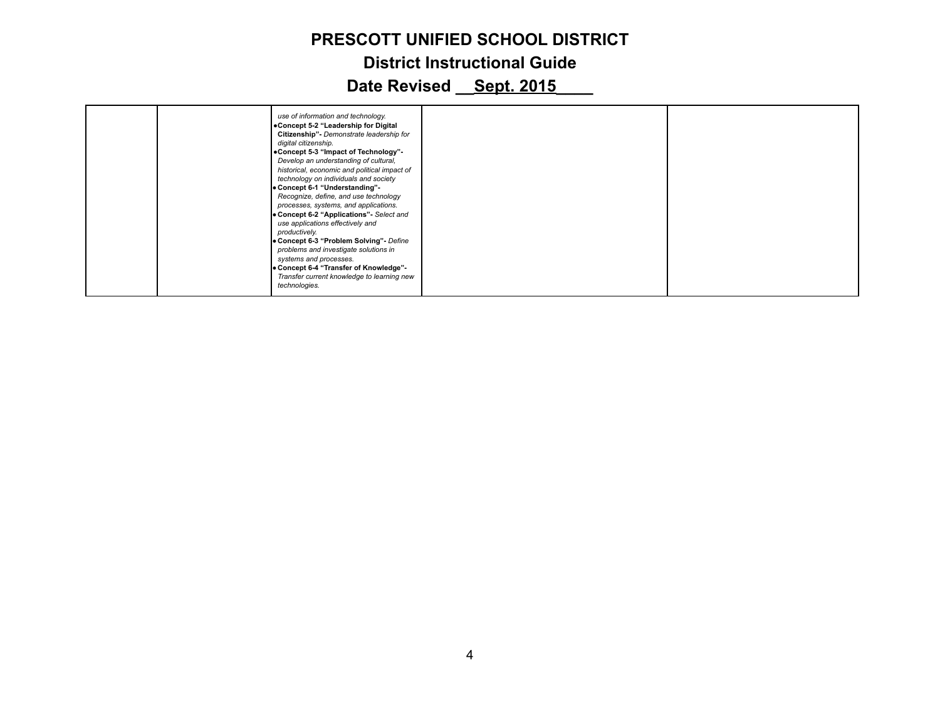|  | use of information and technology.<br>.Concept 5-2 "Leadership for Digital<br>Citizenship"- Demonstrate leadership for<br>digital citizenship.<br>•Concept 5-3 "Impact of Technology"-<br>Develop an understanding of cultural,<br>historical, economic and political impact of<br>technology on individuals and society<br>• Concept 6-1 "Understanding"<br>Recognize, define, and use technology<br>processes, systems, and applications.<br>• Concept 6-2 "Applications" Select and<br>use applications effectively and<br>productively.<br>• Concept 6-3 "Problem Solving" - Define<br>problems and investigate solutions in<br>systems and processes.<br>• Concept 6-4 "Transfer of Knowledge"-<br>Transfer current knowledge to learning new<br>technologies. |  |  |
|--|---------------------------------------------------------------------------------------------------------------------------------------------------------------------------------------------------------------------------------------------------------------------------------------------------------------------------------------------------------------------------------------------------------------------------------------------------------------------------------------------------------------------------------------------------------------------------------------------------------------------------------------------------------------------------------------------------------------------------------------------------------------------|--|--|
|--|---------------------------------------------------------------------------------------------------------------------------------------------------------------------------------------------------------------------------------------------------------------------------------------------------------------------------------------------------------------------------------------------------------------------------------------------------------------------------------------------------------------------------------------------------------------------------------------------------------------------------------------------------------------------------------------------------------------------------------------------------------------------|--|--|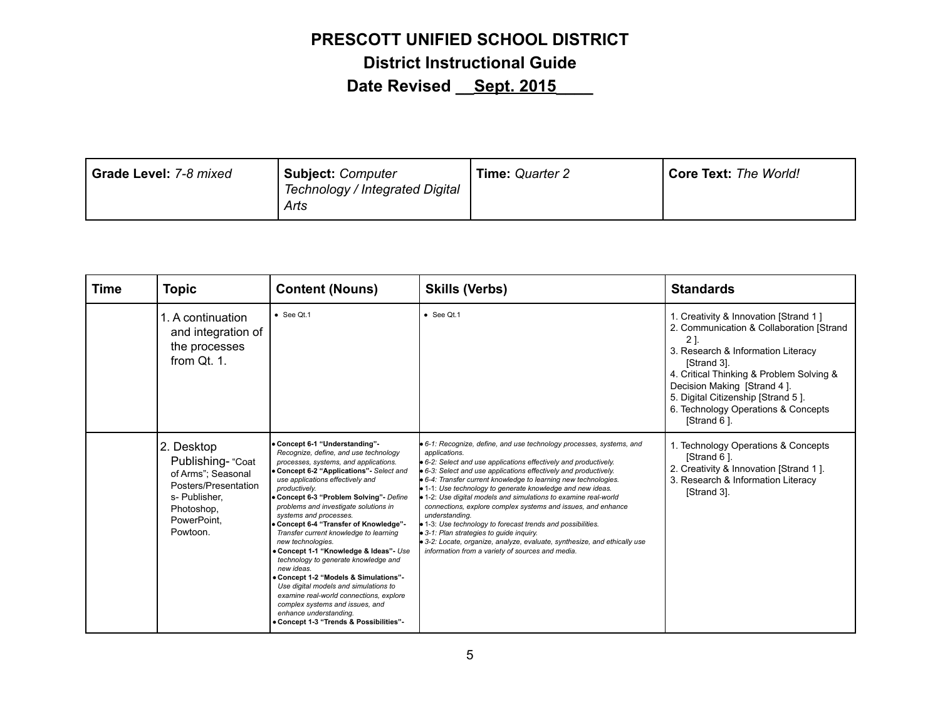| Grade Level: 7-8 mixed<br><b>Subject: Computer</b><br>Technology / Integrated Digital<br>Arts | <b>Time: Quarter 2</b> | <b>Core Text: The World!</b> |
|-----------------------------------------------------------------------------------------------|------------------------|------------------------------|
|-----------------------------------------------------------------------------------------------|------------------------|------------------------------|

| Time | <b>Topic</b>                                                                                                                            | <b>Content (Nouns)</b>                                                                                                                                                                                                                                                                                                                                                                                                                                                                                                                                                                                                                                                                                                                                                      | <b>Skills (Verbs)</b>                                                                                                                                                                                                                                                                                                                                                                                                                                                                                                                                                                                                                                                                                                                                           | <b>Standards</b>                                                                                                                                                                                                                                                                                                      |
|------|-----------------------------------------------------------------------------------------------------------------------------------------|-----------------------------------------------------------------------------------------------------------------------------------------------------------------------------------------------------------------------------------------------------------------------------------------------------------------------------------------------------------------------------------------------------------------------------------------------------------------------------------------------------------------------------------------------------------------------------------------------------------------------------------------------------------------------------------------------------------------------------------------------------------------------------|-----------------------------------------------------------------------------------------------------------------------------------------------------------------------------------------------------------------------------------------------------------------------------------------------------------------------------------------------------------------------------------------------------------------------------------------------------------------------------------------------------------------------------------------------------------------------------------------------------------------------------------------------------------------------------------------------------------------------------------------------------------------|-----------------------------------------------------------------------------------------------------------------------------------------------------------------------------------------------------------------------------------------------------------------------------------------------------------------------|
|      | 1. A continuation<br>and integration of<br>the processes<br>from Qt. 1.                                                                 | $\bullet$ See Qt.1                                                                                                                                                                                                                                                                                                                                                                                                                                                                                                                                                                                                                                                                                                                                                          | $\bullet$ See Qt.1                                                                                                                                                                                                                                                                                                                                                                                                                                                                                                                                                                                                                                                                                                                                              | 1. Creativity & Innovation [Strand 1]<br>2. Communication & Collaboration [Strand<br>2 ].<br>3. Research & Information Literacy<br>[Strand 3].<br>4. Critical Thinking & Problem Solving &<br>Decision Making [Strand 4].<br>5. Digital Citizenship [Strand 5].<br>6. Technology Operations & Concepts<br>[Strand 6]. |
|      | 2. Desktop<br>Publishing- "Coat<br>of Arms": Seasonal<br>Posters/Presentation<br>s- Publisher,<br>Photoshop,<br>PowerPoint,<br>Powtoon. | • Concept 6-1 "Understanding"-<br>Recognize, define, and use technology<br>processes, systems, and applications.<br>• Concept 6-2 "Applications" - Select and<br>use applications effectively and<br>productively.<br>Concept 6-3 "Problem Solving" - Define<br>problems and investigate solutions in<br>systems and processes.<br>Concept 6-4 "Transfer of Knowledge"-<br>Transfer current knowledge to learning<br>new technologies.<br>. Concept 1-1 "Knowledge & Ideas"- Use<br>technology to generate knowledge and<br>new ideas.<br>• Concept 1-2 "Models & Simulations"-<br>Use digital models and simulations to<br>examine real-world connections, explore<br>complex systems and issues, and<br>enhance understanding.<br>• Concept 1-3 "Trends & Possibilities"- | • 6-1: Recognize, define, and use technology processes, systems, and<br>applications.<br>• 6-2: Select and use applications effectively and productively.<br>• 6-3: Select and use applications effectively and productively.<br>• 6-4: Transfer current knowledge to learning new technologies.<br>• 1-1: Use technology to generate knowledge and new ideas.<br>• 1-2: Use digital models and simulations to examine real-world<br>connections, explore complex systems and issues, and enhance<br>understanding.<br>• 1-3: Use technology to forecast trends and possibilities.<br>• 3-1: Plan strategies to quide inquiry.<br>• 3-2: Locate, organize, analyze, evaluate, synthesize, and ethically use<br>information from a variety of sources and media. | 1. Technology Operations & Concepts<br>[Strand 6].<br>2. Creativity & Innovation [Strand 1].<br>3. Research & Information Literacy<br>[Strand 3].                                                                                                                                                                     |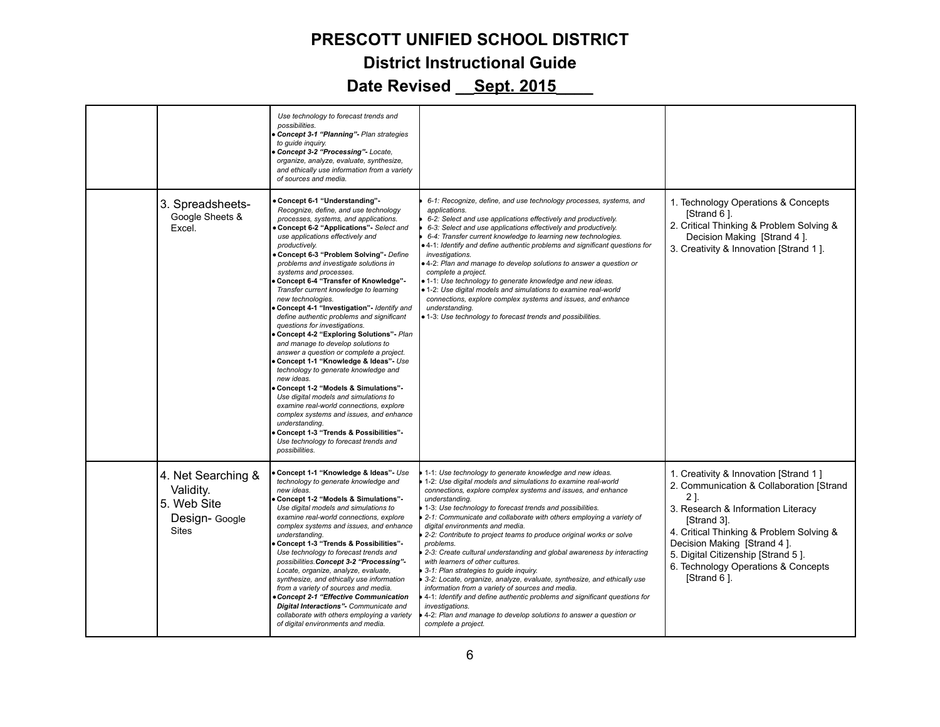|                                                                                  | Use technology to forecast trends and<br>possibilities.<br>Concept 3-1 "Planning" - Plan strategies<br>to quide inquiry.<br>Concept 3-2 "Processing"- Locate,<br>organize, analyze, evaluate, synthesize,<br>and ethically use information from a variety<br>of sources and media.                                                                                                                                                                                                                                                                                                                                                                                                                                                                                                                                                                                                                                                                                                                                                                                                  |                                                                                                                                                                                                                                                                                                                                                                                                                                                                                                                                                                                                                                                                                                                                                                                                                                                                                                                                                           |                                                                                                                                                                                                                                                                                                                      |
|----------------------------------------------------------------------------------|-------------------------------------------------------------------------------------------------------------------------------------------------------------------------------------------------------------------------------------------------------------------------------------------------------------------------------------------------------------------------------------------------------------------------------------------------------------------------------------------------------------------------------------------------------------------------------------------------------------------------------------------------------------------------------------------------------------------------------------------------------------------------------------------------------------------------------------------------------------------------------------------------------------------------------------------------------------------------------------------------------------------------------------------------------------------------------------|-----------------------------------------------------------------------------------------------------------------------------------------------------------------------------------------------------------------------------------------------------------------------------------------------------------------------------------------------------------------------------------------------------------------------------------------------------------------------------------------------------------------------------------------------------------------------------------------------------------------------------------------------------------------------------------------------------------------------------------------------------------------------------------------------------------------------------------------------------------------------------------------------------------------------------------------------------------|----------------------------------------------------------------------------------------------------------------------------------------------------------------------------------------------------------------------------------------------------------------------------------------------------------------------|
| 3. Spreadsheets-<br>Google Sheets &<br>Excel.                                    | • Concept 6-1 "Understanding"<br>Recognize, define, and use technology<br>processes, systems, and applications.<br>Concept 6-2 "Applications" Select and<br>use applications effectively and<br>productively.<br>Concept 6-3 "Problem Solving"- Define<br>problems and investigate solutions in<br>systems and processes.<br>Concept 6-4 "Transfer of Knowledge"-<br>Transfer current knowledge to learning<br>new technologies.<br>Concept 4-1 "Investigation"- Identify and<br>define authentic problems and significant<br>questions for investigations.<br>Concept 4-2 "Exploring Solutions" - Plan<br>and manage to develop solutions to<br>answer a question or complete a project.<br>Concept 1-1 "Knowledge & Ideas"- Use<br>technology to generate knowledge and<br>new ideas.<br>Concept 1-2 "Models & Simulations"-<br>Use digital models and simulations to<br>examine real-world connections, explore<br>complex systems and issues, and enhance<br>understanding.<br>Concept 1-3 "Trends & Possibilities"-<br>Use technology to forecast trends and<br>possibilities. | 6-1: Recognize, define, and use technology processes, systems, and<br>applications.<br>6-2: Select and use applications effectively and productively.<br>6-3: Select and use applications effectively and productively.<br>6-4: Transfer current knowledge to learning new technologies.<br>. 4-1: Identify and define authentic problems and significant questions for<br>investigations.<br>. 4-2: Plan and manage to develop solutions to answer a question or<br>complete a project.<br>• 1-1: Use technology to generate knowledge and new ideas.<br>• 1-2: Use digital models and simulations to examine real-world<br>connections, explore complex systems and issues, and enhance<br>understanding.<br>· 1-3: Use technology to forecast trends and possibilities.                                                                                                                                                                                | 1. Technology Operations & Concepts<br>[Strand 6].<br>2. Critical Thinking & Problem Solving &<br>Decision Making [Strand 4].<br>3. Creativity & Innovation [Strand 1].                                                                                                                                              |
| 4. Net Searching &<br>Validity.<br>5. Web Site<br>Design- Google<br><b>Sites</b> | Concept 1-1 "Knowledge & Ideas"- Use<br>technology to generate knowledge and<br>new ideas.<br>Concept 1-2 "Models & Simulations"-<br>Use digital models and simulations to<br>examine real-world connections, explore<br>complex systems and issues, and enhance<br>understanding.<br>Concept 1-3 "Trends & Possibilities"-<br>Use technology to forecast trends and<br>possibilities. Concept 3-2 "Processing"-<br>Locate, organize, analyze, evaluate,<br>synthesize, and ethically use information<br>from a variety of sources and media.<br>Concept 2-1 "Effective Communication<br>Digital Interactions"- Communicate and<br>collaborate with others employing a variety<br>of digital environments and media.                                                                                                                                                                                                                                                                                                                                                                | 1-1: Use technology to generate knowledge and new ideas.<br>1-2: Use digital models and simulations to examine real-world<br>connections, explore complex systems and issues, and enhance<br>understanding.<br>1-3: Use technology to forecast trends and possibilities.<br>2-1: Communicate and collaborate with others employing a variety of<br>digital environments and media.<br>2-2: Contribute to project teams to produce original works or solve<br>problems.<br>2-3: Create cultural understanding and global awareness by interacting<br>with learners of other cultures.<br>3-1: Plan strategies to guide inquiry.<br>3-2: Locate, organize, analyze, evaluate, synthesize, and ethically use<br>information from a variety of sources and media.<br>4-1: Identify and define authentic problems and significant questions for<br>investigations.<br>4-2: Plan and manage to develop solutions to answer a question or<br>complete a project. | 1. Creativity & Innovation [Strand 1]<br>2. Communication & Collaboration [Strand<br>21.<br>3. Research & Information Literacy<br>[Strand 3].<br>4. Critical Thinking & Problem Solving &<br>Decision Making [Strand 4].<br>5. Digital Citizenship [Strand 5].<br>6. Technology Operations & Concepts<br>[Strand 6]. |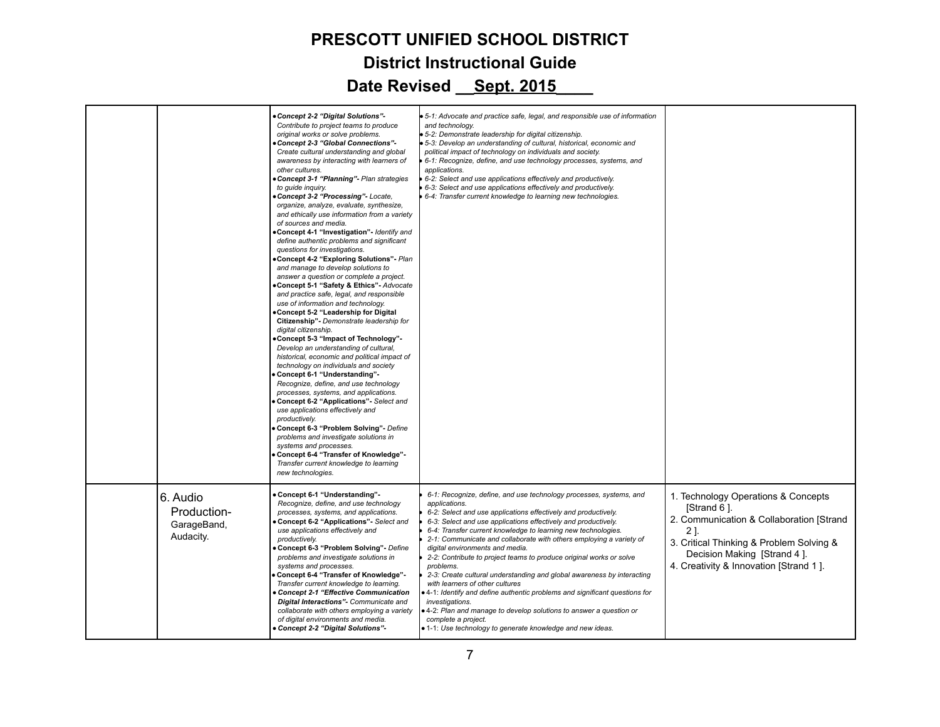|                                                     | Concept 2-2 "Digital Solutions"-<br>Contribute to project teams to produce<br>original works or solve problems.<br>Concept 2-3 "Global Connections"-<br>Create cultural understanding and global<br>awareness by interacting with learners of<br>other cultures.<br>Concept 3-1 "Planning"- Plan strategies<br>to guide inquiry.<br>Concept 3-2 "Processing"- Locate,<br>organize, analyze, evaluate, synthesize,<br>and ethically use information from a variety<br>of sources and media.<br>Concept 4-1 "Investigation"- Identify and<br>define authentic problems and significant<br>questions for investigations.<br>Concept 4-2 "Exploring Solutions" Plan<br>and manage to develop solutions to<br>answer a question or complete a project.<br>Concept 5-1 "Safety & Ethics"- Advocate<br>and practice safe, legal, and responsible<br>use of information and technology.<br>Concept 5-2 "Leadership for Digital<br>Citizenship"- Demonstrate leadership for<br>digital citizenship.<br>Concept 5-3 "Impact of Technology"<br>Develop an understanding of cultural,<br>historical, economic and political impact of<br>technology on individuals and society<br>Concept 6-1 "Understanding"<br>Recognize, define, and use technology<br>processes, systems, and applications.<br>Concept 6-2 "Applications" Select and<br>use applications effectively and<br>productively.<br>Concept 6-3 "Problem Solving" - Define<br>problems and investigate solutions in<br>systems and processes.<br>Concept 6-4 "Transfer of Knowledge"-<br>Transfer current knowledge to learning<br>new technologies. | 5-1: Advocate and practice safe, legal, and responsible use of information<br>and technology.<br>5-2: Demonstrate leadership for digital citizenship.<br>5-3: Develop an understanding of cultural, historical, economic and<br>political impact of technology on individuals and society.<br>6-1: Recognize, define, and use technology processes, systems, and<br>applications.<br>6-2: Select and use applications effectively and productively.<br>6-3: Select and use applications effectively and productively.<br>6-4: Transfer current knowledge to learning new technologies.                                                                                                                                                                                                                                                                            |                                                                                                                                                                                                                           |
|-----------------------------------------------------|-------------------------------------------------------------------------------------------------------------------------------------------------------------------------------------------------------------------------------------------------------------------------------------------------------------------------------------------------------------------------------------------------------------------------------------------------------------------------------------------------------------------------------------------------------------------------------------------------------------------------------------------------------------------------------------------------------------------------------------------------------------------------------------------------------------------------------------------------------------------------------------------------------------------------------------------------------------------------------------------------------------------------------------------------------------------------------------------------------------------------------------------------------------------------------------------------------------------------------------------------------------------------------------------------------------------------------------------------------------------------------------------------------------------------------------------------------------------------------------------------------------------------------------------------------------------------------------------------------|-------------------------------------------------------------------------------------------------------------------------------------------------------------------------------------------------------------------------------------------------------------------------------------------------------------------------------------------------------------------------------------------------------------------------------------------------------------------------------------------------------------------------------------------------------------------------------------------------------------------------------------------------------------------------------------------------------------------------------------------------------------------------------------------------------------------------------------------------------------------|---------------------------------------------------------------------------------------------------------------------------------------------------------------------------------------------------------------------------|
| 6. Audio<br>Production-<br>GarageBand,<br>Audacity. | Concept 6-1 "Understanding"-<br>Recognize, define, and use technology<br>processes, systems, and applications.<br>Concept 6-2 "Applications" Select and<br>use applications effectively and<br>productively.<br>Concept 6-3 "Problem Solving" - Define<br>problems and investigate solutions in<br>systems and processes.<br>Concept 6-4 "Transfer of Knowledge"-<br>Transfer current knowledge to learning.<br>Concept 2-1 "Effective Communication<br>Digital Interactions"- Communicate and<br>collaborate with others employing a variety<br>of digital environments and media.<br>Concept 2-2 "Digital Solutions"-                                                                                                                                                                                                                                                                                                                                                                                                                                                                                                                                                                                                                                                                                                                                                                                                                                                                                                                                                                               | 6-1: Recognize, define, and use technology processes, systems, and<br>applications.<br>6-2: Select and use applications effectively and productively.<br>6-3: Select and use applications effectively and productively.<br>6-4: Transfer current knowledge to learning new technologies.<br>2-1: Communicate and collaborate with others employing a variety of<br>digital environments and media.<br>2-2: Contribute to project teams to produce original works or solve<br>problems.<br>2-3: Create cultural understanding and global awareness by interacting<br>with learners of other cultures<br>. 4-1: Identify and define authentic problems and significant questions for<br>investigations.<br>• 4-2: Plan and manage to develop solutions to answer a question or<br>complete a project.<br>• 1-1: Use technology to generate knowledge and new ideas. | 1. Technology Operations & Concepts<br>[Strand 6].<br>2. Communication & Collaboration [Strand<br>21<br>3. Critical Thinking & Problem Solving &<br>Decision Making [Strand 4].<br>4. Creativity & Innovation [Strand 1]. |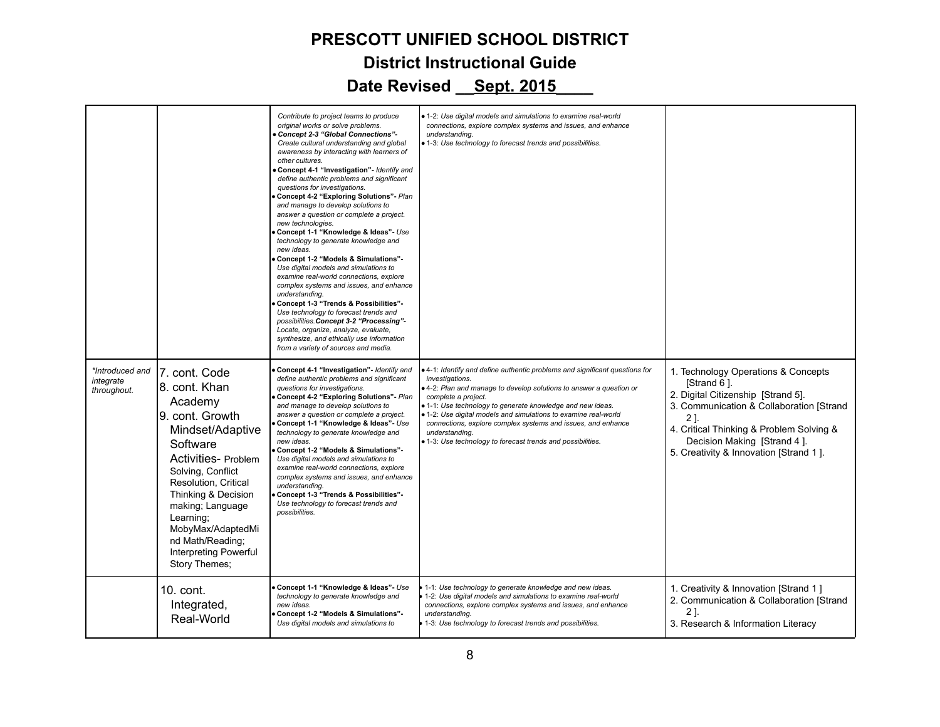|                                             |                                                                                                                                                                                                                                                                                                                    | Contribute to project teams to produce<br>original works or solve problems.<br>Concept 2-3 "Global Connections"-<br>Create cultural understanding and global<br>awareness by interacting with learners of<br>other cultures.<br>Concept 4-1 "Investigation"- Identify and<br>define authentic problems and significant<br>questions for investigations.<br>Concept 4-2 "Exploring Solutions" Plan<br>and manage to develop solutions to<br>answer a question or complete a project.<br>new technologies.<br>Concept 1-1 "Knowledge & Ideas"- Use<br>technology to generate knowledge and<br>new ideas.<br>Concept 1-2 "Models & Simulations"-<br>Use digital models and simulations to<br>examine real-world connections, explore<br>complex systems and issues, and enhance<br>understanding.<br>Concept 1-3 "Trends & Possibilities"-<br>Use technology to forecast trends and<br>possibilities. Concept 3-2 "Processing"-<br>Locate, organize, analyze, evaluate,<br>synthesize, and ethically use information<br>from a variety of sources and media. | • 1-2: Use digital models and simulations to examine real-world<br>connections, explore complex systems and issues, and enhance<br>understanding.<br>• 1-3: Use technology to forecast trends and possibilities.                                                                                                                                                                                                                                                              |                                                                                                                                                                                                                                                                  |
|---------------------------------------------|--------------------------------------------------------------------------------------------------------------------------------------------------------------------------------------------------------------------------------------------------------------------------------------------------------------------|-----------------------------------------------------------------------------------------------------------------------------------------------------------------------------------------------------------------------------------------------------------------------------------------------------------------------------------------------------------------------------------------------------------------------------------------------------------------------------------------------------------------------------------------------------------------------------------------------------------------------------------------------------------------------------------------------------------------------------------------------------------------------------------------------------------------------------------------------------------------------------------------------------------------------------------------------------------------------------------------------------------------------------------------------------------|-------------------------------------------------------------------------------------------------------------------------------------------------------------------------------------------------------------------------------------------------------------------------------------------------------------------------------------------------------------------------------------------------------------------------------------------------------------------------------|------------------------------------------------------------------------------------------------------------------------------------------------------------------------------------------------------------------------------------------------------------------|
| *Introduced and<br>integrate<br>throughout. | 7. cont. Code<br>8. cont. Khan<br>Academy<br>9. cont. Growth<br>Mindset/Adaptive<br>Software<br>Activities- Problem<br>Solving, Conflict<br>Resolution, Critical<br>Thinking & Decision<br>making; Language<br>Learning;<br>MobyMax/AdaptedMi<br>nd Math/Reading;<br><b>Interpreting Powerful</b><br>Story Themes; | Concept 4-1 "Investigation" Identify and<br>define authentic problems and significant<br>questions for investigations.<br>Concept 4-2 "Exploring Solutions" - Plan<br>and manage to develop solutions to<br>answer a question or complete a project.<br>Concept 1-1 "Knowledge & Ideas"- Use<br>technology to generate knowledge and<br>new ideas.<br>Concept 1-2 "Models & Simulations"-<br>Use digital models and simulations to<br>examine real-world connections, explore<br>complex systems and issues, and enhance<br>understanding.<br>Concept 1-3 "Trends & Possibilities"-<br>Use technology to forecast trends and<br>possibilities.                                                                                                                                                                                                                                                                                                                                                                                                            | . 4-1: Identify and define authentic problems and significant questions for<br>investigations.<br>.4-2: Plan and manage to develop solutions to answer a question or<br>complete a project.<br>• 1-1: Use technology to generate knowledge and new ideas.<br>• 1-2: Use digital models and simulations to examine real-world<br>connections, explore complex systems and issues, and enhance<br>understanding.<br>• 1-3: Use technology to forecast trends and possibilities. | 1. Technology Operations & Concepts<br>[Strand 6].<br>2. Digital Citizenship [Strand 5].<br>3. Communication & Collaboration [Strand<br>21.<br>4. Critical Thinking & Problem Solving &<br>Decision Making [Strand 4].<br>5. Creativity & Innovation [Strand 1]. |
|                                             | 10. cont.<br>Integrated,<br>Real-World                                                                                                                                                                                                                                                                             | Concept 1-1 "Knowledge & Ideas"- Use<br>technology to generate knowledge and<br>new ideas.<br>Concept 1-2 "Models & Simulations"-<br>Use digital models and simulations to                                                                                                                                                                                                                                                                                                                                                                                                                                                                                                                                                                                                                                                                                                                                                                                                                                                                                | 1-1: Use technology to generate knowledge and new ideas.<br>1-2: Use digital models and simulations to examine real-world<br>connections, explore complex systems and issues, and enhance<br>understanding.<br>1-3: Use technology to forecast trends and possibilities.                                                                                                                                                                                                      | 1. Creativity & Innovation [Strand 1]<br>2. Communication & Collaboration [Strand<br>21.<br>3. Research & Information Literacy                                                                                                                                   |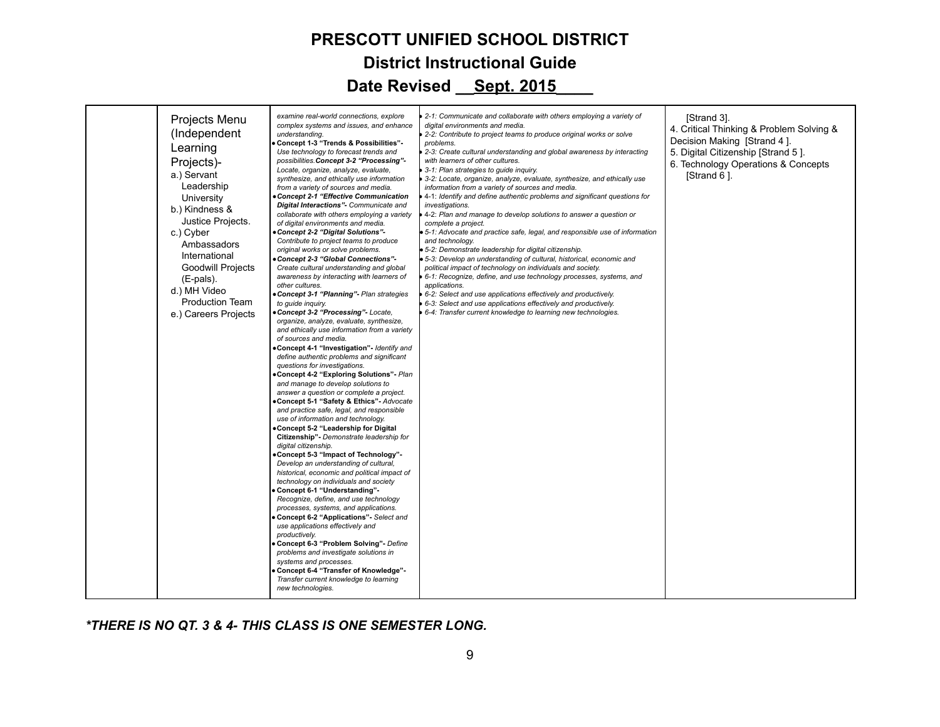| Projects Menu<br>(Independent<br>Learning<br>Projects)-<br>a.) Servant<br>Leadership<br>University<br>b.) Kindness &<br>Justice Projects.<br>c.) Cyber<br>Ambassadors<br>International<br><b>Goodwill Projects</b><br>(E-pals).<br>d.) MH Video<br><b>Production Team</b><br>e.) Careers Projects | examine real-world connections, explore<br>complex systems and issues, and enhance<br>understanding.<br>Concept 1-3 "Trends & Possibilities"-<br>Use technology to forecast trends and<br>possibilities.Concept 3-2 "Processing"-<br>Locate, organize, analyze, evaluate,<br>synthesize, and ethically use information<br>from a variety of sources and media.<br>Concept 2-1 "Effective Communication<br>Digital Interactions"- Communicate and<br>collaborate with others employing a variety<br>of digital environments and media.<br>Concept 2-2 "Digital Solutions"-<br>Contribute to project teams to produce<br>original works or solve problems.<br>Concept 2-3 "Global Connections"-<br>Create cultural understanding and global<br>awareness by interacting with learners of<br>other cultures.<br>Concept 3-1 "Planning"- Plan strategies<br>to quide inquiry.<br>Concept 3-2 "Processing"- Locate,<br>organize, analyze, evaluate, synthesize,<br>and ethically use information from a variety<br>of sources and media.<br>Concept 4-1 "Investigation" Identify and<br>define authentic problems and significant<br>questions for investigations.<br>Concept 4-2 "Exploring Solutions" - Plan<br>and manage to develop solutions to<br>answer a question or complete a project.<br>Concept 5-1 "Safety & Ethics"- Advocate<br>and practice safe, legal, and responsible<br>use of information and technology.<br>Concept 5-2 "Leadership for Digital<br>Citizenship"- Demonstrate leadership for<br>digital citizenship.<br>Concept 5-3 "Impact of Technology"-<br>Develop an understanding of cultural,<br>historical, economic and political impact of<br>technology on individuals and society<br>Concept 6-1 "Understanding"<br>Recognize, define, and use technology<br>processes, systems, and applications.<br>Concept 6-2 "Applications" Select and<br>use applications effectively and<br>productively.<br>Concept 6-3 "Problem Solving"- Define<br>problems and investigate solutions in<br>systems and processes.<br>Concept 6-4 "Transfer of Knowledge"-<br>Transfer current knowledge to learning<br>new technologies. | 2-1: Communicate and collaborate with others employing a variety of<br>digital environments and media.<br>2-2: Contribute to project teams to produce original works or solve<br>problems.<br>2-3: Create cultural understanding and global awareness by interacting<br>with learners of other cultures.<br>3-1: Plan strategies to guide inquiry.<br>3-2: Locate, organize, analyze, evaluate, synthesize, and ethically use<br>information from a variety of sources and media.<br>4-1: Identify and define authentic problems and significant questions for<br><i>investigations.</i><br>4-2: Plan and manage to develop solutions to answer a question or<br>complete a project.<br>5-1: Advocate and practice safe, legal, and responsible use of information<br>and technology.<br>5-2: Demonstrate leadership for digital citizenship.<br>• 5-3: Develop an understanding of cultural, historical, economic and<br>political impact of technology on individuals and society.<br>6-1: Recognize, define, and use technology processes, systems, and<br>applications.<br>6-2: Select and use applications effectively and productively.<br>6-3: Select and use applications effectively and productively.<br>6-4: Transfer current knowledge to learning new technologies. | [Strand 3].<br>4. Critical Thinking & Problem Solving &<br>Decision Making [Strand 4].<br>5. Digital Citizenship [Strand 5].<br>6. Technology Operations & Concepts<br>[Strand 6]. |
|---------------------------------------------------------------------------------------------------------------------------------------------------------------------------------------------------------------------------------------------------------------------------------------------------|-------------------------------------------------------------------------------------------------------------------------------------------------------------------------------------------------------------------------------------------------------------------------------------------------------------------------------------------------------------------------------------------------------------------------------------------------------------------------------------------------------------------------------------------------------------------------------------------------------------------------------------------------------------------------------------------------------------------------------------------------------------------------------------------------------------------------------------------------------------------------------------------------------------------------------------------------------------------------------------------------------------------------------------------------------------------------------------------------------------------------------------------------------------------------------------------------------------------------------------------------------------------------------------------------------------------------------------------------------------------------------------------------------------------------------------------------------------------------------------------------------------------------------------------------------------------------------------------------------------------------------------------------------------------------------------------------------------------------------------------------------------------------------------------------------------------------------------------------------------------------------------------------------------------------------------------------------------------------------------------------------------------------------------------------------------------------------------------------------------------------------------------------|----------------------------------------------------------------------------------------------------------------------------------------------------------------------------------------------------------------------------------------------------------------------------------------------------------------------------------------------------------------------------------------------------------------------------------------------------------------------------------------------------------------------------------------------------------------------------------------------------------------------------------------------------------------------------------------------------------------------------------------------------------------------------------------------------------------------------------------------------------------------------------------------------------------------------------------------------------------------------------------------------------------------------------------------------------------------------------------------------------------------------------------------------------------------------------------------------------------------------------------------------------------------------------|------------------------------------------------------------------------------------------------------------------------------------------------------------------------------------|

*\*THERE IS NO QT. 3 & 4- THIS CLASS IS ONE SEMESTER LONG.*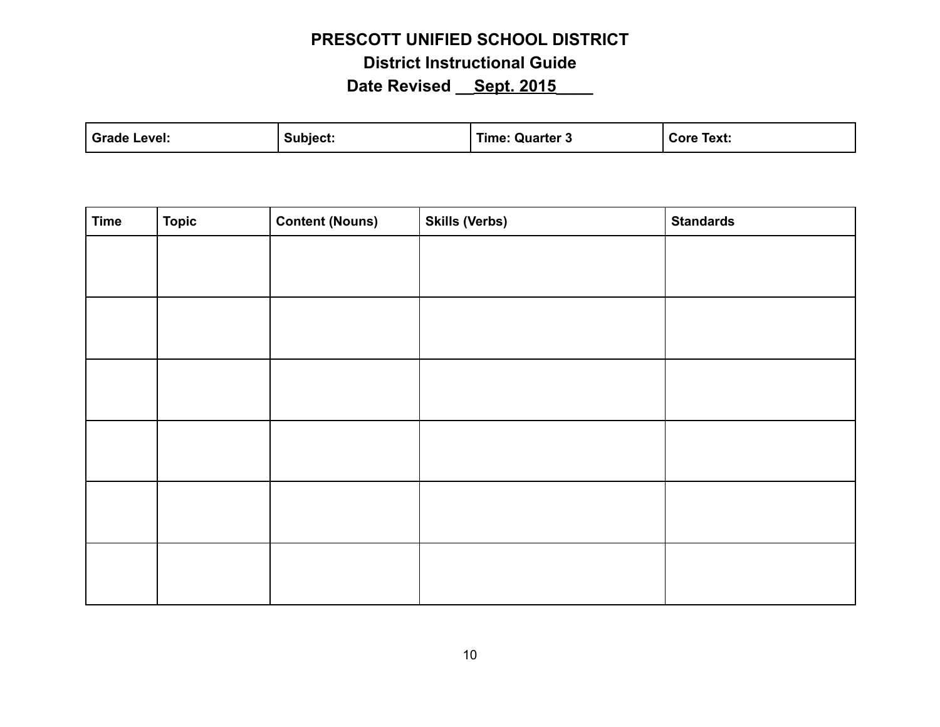| Grade  | Subiect. | --           | Core  |
|--------|----------|--------------|-------|
| Level: |          | Quarter 3    | Text: |
|        |          | <b>Fime:</b> |       |
|        |          |              |       |

| <b>Time</b> | Topic | <b>Content (Nouns)</b> | <b>Skills (Verbs)</b> | <b>Standards</b> |
|-------------|-------|------------------------|-----------------------|------------------|
|             |       |                        |                       |                  |
|             |       |                        |                       |                  |
|             |       |                        |                       |                  |
|             |       |                        |                       |                  |
|             |       |                        |                       |                  |
|             |       |                        |                       |                  |
|             |       |                        |                       |                  |
|             |       |                        |                       |                  |
|             |       |                        |                       |                  |
|             |       |                        |                       |                  |
|             |       |                        |                       |                  |
|             |       |                        |                       |                  |